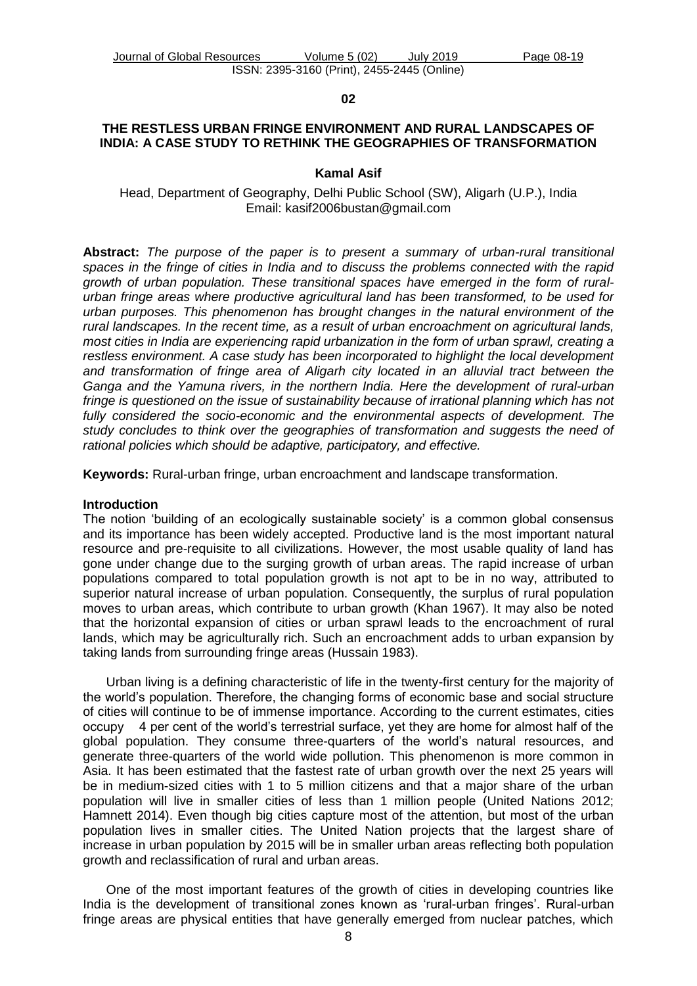### **02**

## **THE RESTLESS URBAN FRINGE ENVIRONMENT AND RURAL LANDSCAPES OF INDIA: A CASE STUDY TO RETHINK THE GEOGRAPHIES OF TRANSFORMATION**

### **Kamal Asif**

Head, Department of Geography, Delhi Public School (SW), Aligarh (U.P.), India Email: [kasif2006bustan@gmail.com](mailto:kasif2006bustan@gmail.com)

**Abstract:** *The purpose of the paper is to present a summary of urban-rural transitional spaces in the fringe of cities in India and to discuss the problems connected with the rapid growth of urban population. These transitional spaces have emerged in the form of ruralurban fringe areas where productive agricultural land has been transformed, to be used for urban purposes. This phenomenon has brought changes in the natural environment of the rural landscapes. In the recent time, as a result of urban encroachment on agricultural lands, most cities in India are experiencing rapid urbanization in the form of urban sprawl, creating a restless environment. A case study has been incorporated to highlight the local development and transformation of fringe area of Aligarh city located in an alluvial tract between the Ganga and the Yamuna rivers, in the northern India. Here the development of rural-urban fringe is questioned on the issue of sustainability because of irrational planning which has not fully considered the socio-economic and the environmental aspects of development. The study concludes to think over the geographies of transformation and suggests the need of rational policies which should be adaptive, participatory, and effective.* 

**Keywords:** Rural-urban fringe, urban encroachment and landscape transformation.

#### **Introduction**

The notion 'building of an ecologically sustainable society' is a common global consensus and its importance has been widely accepted. Productive land is the most important natural resource and pre-requisite to all civilizations. However, the most usable quality of land has gone under change due to the surging growth of urban areas. The rapid increase of urban populations compared to total population growth is not apt to be in no way, attributed to superior natural increase of urban population. Consequently, the surplus of rural population moves to urban areas, which contribute to urban growth (Khan 1967). It may also be noted that the horizontal expansion of cities or urban sprawl leads to the encroachment of rural lands, which may be agriculturally rich. Such an encroachment adds to urban expansion by taking lands from surrounding fringe areas (Hussain 1983).

Urban living is a defining characteristic of life in the twenty-first century for the majority of the world's population. Therefore, the changing forms of economic base and social structure of cities will continue to be of immense importance. According to the current estimates, cities occupy 4 per cent of the world's terrestrial surface, yet they are home for almost half of the global population. They consume three-quarters of the world's natural resources, and generate three-quarters of the world wide pollution. This phenomenon is more common in Asia. It has been estimated that the fastest rate of urban growth over the next 25 years will be in medium-sized cities with 1 to 5 million citizens and that a major share of the urban population will live in smaller cities of less than 1 million people (United Nations 2012; Hamnett 2014). Even though big cities capture most of the attention, but most of the urban population lives in smaller cities. The United Nation projects that the largest share of increase in urban population by 2015 will be in smaller urban areas reflecting both population growth and reclassification of rural and urban areas.

One of the most important features of the growth of cities in developing countries like India is the development of transitional zones known as 'rural-urban fringes'. Rural-urban fringe areas are physical entities that have generally emerged from nuclear patches, which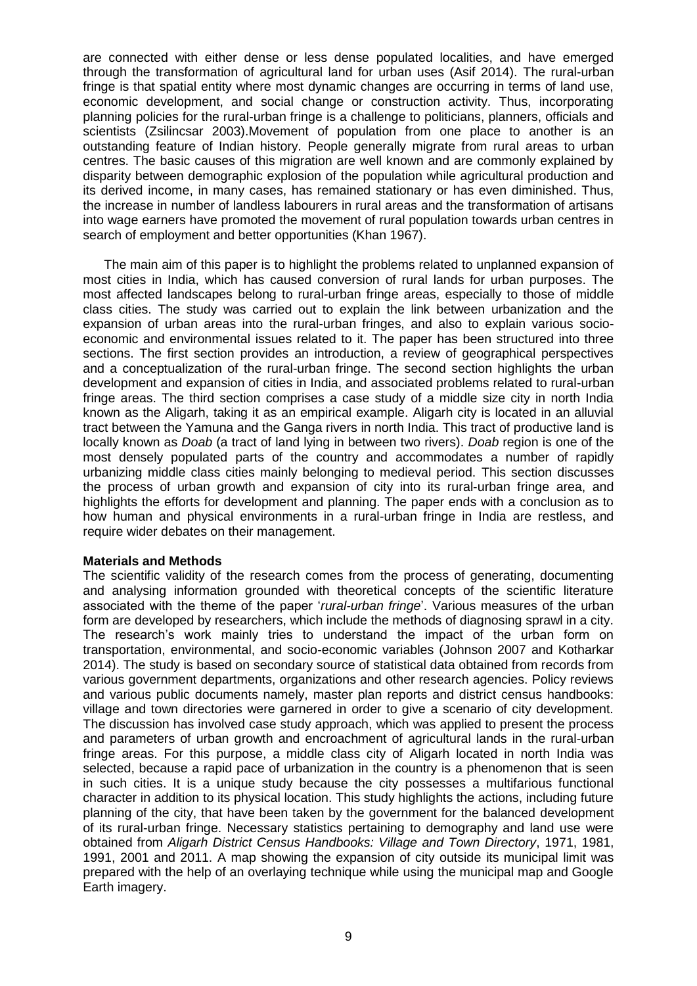are connected with either dense or less dense populated localities, and have emerged through the transformation of agricultural land for urban uses (Asif 2014). The rural-urban fringe is that spatial entity where most dynamic changes are occurring in terms of land use, economic development, and social change or construction activity. Thus, incorporating planning policies for the rural-urban fringe is a challenge to politicians, planners, officials and scientists (Zsilincsar 2003).Movement of population from one place to another is an outstanding feature of Indian history. People generally migrate from rural areas to urban centres. The basic causes of this migration are well known and are commonly explained by disparity between demographic explosion of the population while agricultural production and its derived income, in many cases, has remained stationary or has even diminished. Thus, the increase in number of landless labourers in rural areas and the transformation of artisans into wage earners have promoted the movement of rural population towards urban centres in search of employment and better opportunities (Khan 1967).

The main aim of this paper is to highlight the problems related to unplanned expansion of most cities in India, which has caused conversion of rural lands for urban purposes. The most affected landscapes belong to rural-urban fringe areas, especially to those of middle class cities. The study was carried out to explain the link between urbanization and the expansion of urban areas into the rural-urban fringes, and also to explain various socioeconomic and environmental issues related to it. The paper has been structured into three sections. The first section provides an introduction, a review of geographical perspectives and a conceptualization of the rural-urban fringe. The second section highlights the urban development and expansion of cities in India, and associated problems related to rural-urban fringe areas. The third section comprises a case study of a middle size city in north India known as the Aligarh, taking it as an empirical example. Aligarh city is located in an alluvial tract between the Yamuna and the Ganga rivers in north India. This tract of productive land is locally known as *Doab* (a tract of land lying in between two rivers). *Doab* region is one of the most densely populated parts of the country and accommodates a number of rapidly urbanizing middle class cities mainly belonging to medieval period. This section discusses the process of urban growth and expansion of city into its rural-urban fringe area, and highlights the efforts for development and planning. The paper ends with a conclusion as to how human and physical environments in a rural-urban fringe in India are restless, and require wider debates on their management.

### **Materials and Methods**

The scientific validity of the research comes from the process of generating, documenting and analysing information grounded with theoretical concepts of the scientific literature associated with the theme of the paper '*rural-urban fringe*'. Various measures of the urban form are developed by researchers, which include the methods of diagnosing sprawl in a city. The research's work mainly tries to understand the impact of the urban form on transportation, environmental, and socio-economic variables (Johnson 2007 and Kotharkar 2014). The study is based on secondary source of statistical data obtained from records from various government departments, organizations and other research agencies. Policy reviews and various public documents namely, master plan reports and district census handbooks: village and town directories were garnered in order to give a scenario of city development. The discussion has involved case study approach, which was applied to present the process and parameters of urban growth and encroachment of agricultural lands in the rural-urban fringe areas. For this purpose, a middle class city of Aligarh located in north India was selected, because a rapid pace of urbanization in the country is a phenomenon that is seen in such cities. It is a unique study because the city possesses a multifarious functional character in addition to its physical location. This study highlights the actions, including future planning of the city, that have been taken by the government for the balanced development of its rural-urban fringe. Necessary statistics pertaining to demography and land use were obtained from *Aligarh District Census Handbooks: Village and Town Directory*, 1971, 1981, 1991, 2001 and 2011. A map showing the expansion of city outside its municipal limit was prepared with the help of an overlaying technique while using the municipal map and Google Earth imagery.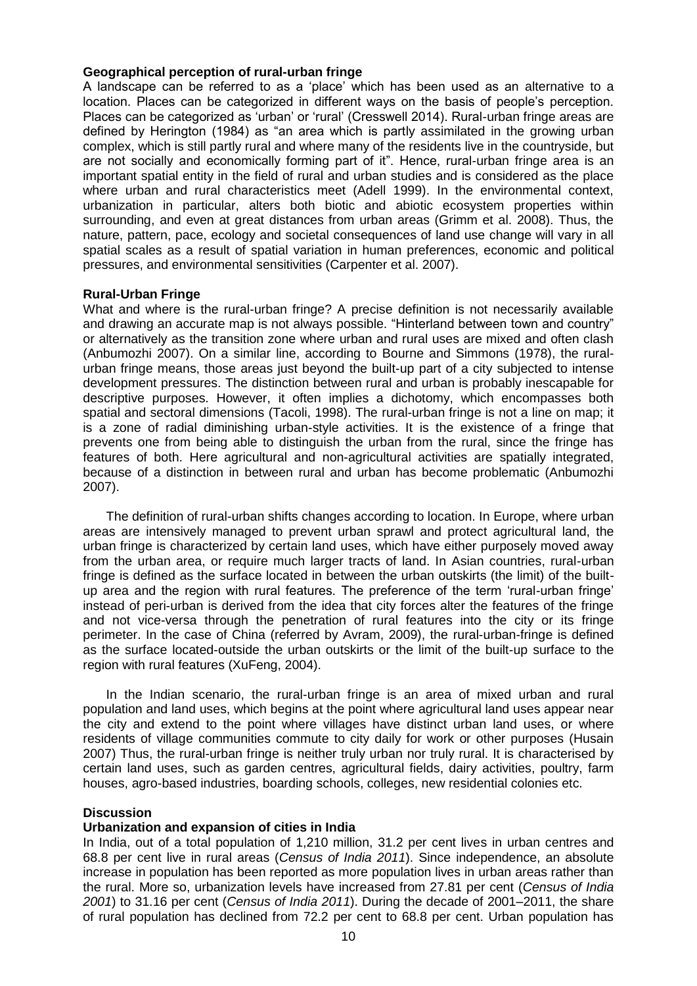### **Geographical perception of rural-urban fringe**

A landscape can be referred to as a 'place' which has been used as an alternative to a location. Places can be categorized in different ways on the basis of people's perception. Places can be categorized as 'urban' or 'rural' (Cresswell 2014). Rural-urban fringe areas are defined by Herington (1984) as "an area which is partly assimilated in the growing urban complex, which is still partly rural and where many of the residents live in the countryside, but are not socially and economically forming part of it". Hence, rural-urban fringe area is an important spatial entity in the field of rural and urban studies and is considered as the place where urban and rural characteristics meet (Adell 1999). In the environmental context, urbanization in particular, alters both biotic and abiotic ecosystem properties within surrounding, and even at great distances from urban areas (Grimm et al. 2008). Thus, the nature, pattern, pace, ecology and societal consequences of land use change will vary in all spatial scales as a result of spatial variation in human preferences, economic and political pressures, and environmental sensitivities (Carpenter et al. 2007).

### **Rural-Urban Fringe**

What and where is the rural-urban fringe? A precise definition is not necessarily available and drawing an accurate map is not always possible. "Hinterland between town and country" or alternatively as the transition zone where urban and rural uses are mixed and often clash (Anbumozhi 2007). On a similar line, according to Bourne and Simmons (1978), the ruralurban fringe means, those areas just beyond the built-up part of a city subjected to intense development pressures. The distinction between rural and urban is probably inescapable for descriptive purposes. However, it often implies a dichotomy, which encompasses both spatial and sectoral dimensions (Tacoli, 1998). The rural-urban fringe is not a line on map; it is a zone of radial diminishing urban-style activities. It is the existence of a fringe that prevents one from being able to distinguish the urban from the rural, since the fringe has features of both. Here agricultural and non-agricultural activities are spatially integrated, because of a distinction in between rural and urban has become problematic (Anbumozhi 2007).

The definition of rural-urban shifts changes according to location. In [Europe,](http://en.wikipedia.org/wiki/Europe) where urban areas are intensively managed to prevent [urban sprawl](http://en.wikipedia.org/wiki/Urban_sprawl) and protect agricultural land, the urban fringe is characterized by certain land uses, which have either purposely moved away from the urban area, or require much larger tracts of land. In Asian countries, rural-urban fringe is defined as the surface located in between the urban outskirts (the limit) of the builtup area and the region with rural features. The preference of the term 'rural-urban fringe' instead of peri-urban is derived from the idea that city forces alter the features of the fringe and not vice-versa through the penetration of rural features into the city or its fringe perimeter. In the case of China (referred by Avram, 2009), the rural-urban-fringe is defined as the surface located-outside the urban outskirts or the limit of the built-up surface to the region with rural features (XuFeng, 2004).

In the Indian scenario, the rural-urban fringe is an area of mixed urban and rural population and land uses, which begins at the point where agricultural land uses appear near the city and extend to the point where villages have distinct urban land uses, or where residents of village communities commute to city daily for work or other purposes (Husain 2007) Thus, the rural-urban fringe is neither truly urban nor truly rural. It is characterised by certain land uses, such as garden centres, agricultural fields, dairy activities, poultry, farm houses, agro-based industries, boarding schools, colleges, new residential colonies etc.

### **Discussion**

# **Urbanization and expansion of cities in India**

In India, out of a total population of 1,210 million, 31.2 per cent lives in urban centres and 68.8 per cent live in rural areas (*Census of India 2011*). Since independence, an absolute increase in population has been reported as more population lives in urban areas rather than the rural. More so, urbanization levels have increased from 27.81 per cent (*Census of India 2001*) to 31.16 per cent (*Census of India 2011*). During the decade of 2001–2011, the share of rural population has declined from 72.2 per cent to 68.8 per cent. Urban population has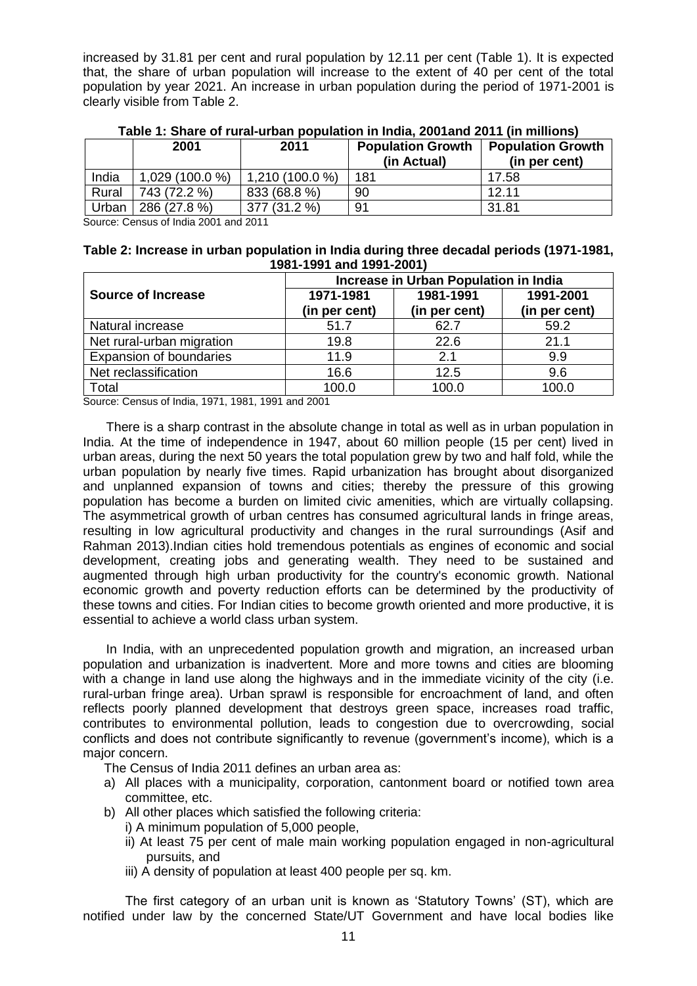increased by 31.81 per cent and rural population by 12.11 per cent (Table 1). It is expected that, the share of urban population will increase to the extent of 40 per cent of the total population by year 2021. An increase in urban population during the period of 1971-2001 is clearly visible from Table 2.

|       | 2001             | 2011             | <b>Population Growth</b><br>(in Actual) | <b>Population Growth</b><br>(in per cent) |
|-------|------------------|------------------|-----------------------------------------|-------------------------------------------|
| India | $1,029(100.0\%)$ | $1,210(100.0\%)$ | 181                                     | 17.58                                     |
| Rural | 743 (72.2 %)     | 833 (68.8 %)     | 90                                      | 12.11                                     |
| Urban | 286 (27.8 %)     | 377 (31.2 %)     | 91                                      | 31.81                                     |

**Table 1: Share of rural-urban population in India, 2001and 2011 (in millions)**

Source: Census of India 2001 and 2011

| Table 2: Increase in urban population in India during three decadal periods (1971-1981, |  |
|-----------------------------------------------------------------------------------------|--|
| 1981-1991 and 1991-2001)                                                                |  |

|                           | Increase in Urban Population in India |                            |                            |  |
|---------------------------|---------------------------------------|----------------------------|----------------------------|--|
| <b>Source of Increase</b> | 1971-1981<br>(in per cent)            | 1981-1991<br>(in per cent) | 1991-2001<br>(in per cent) |  |
| Natural increase          | 51.7                                  | 62.7                       | 59.2                       |  |
| Net rural-urban migration | 19.8                                  | 22.6                       | 21.1                       |  |
| Expansion of boundaries   | 11.9                                  | 2.1                        | 9.9                        |  |
| Net reclassification      | 16.6                                  | 12.5                       | 9.6                        |  |
| Total                     | 100.0                                 | 100.0                      | 100.0                      |  |

Source: Census of India, 1971, 1981, 1991 and 2001

There is a sharp contrast in the absolute change in total as well as in urban population in India. At the time of independence in 1947, about 60 million people (15 per cent) lived in urban areas, during the next 50 years the total population grew by two and half fold, while the urban population by nearly five times. Rapid urbanization has brought about disorganized and unplanned expansion of towns and cities; thereby the pressure of this growing population has become a burden on limited civic amenities, which are virtually collapsing. The asymmetrical growth of urban centres has consumed agricultural lands in fringe areas, resulting in low agricultural productivity and changes in the rural surroundings (Asif and Rahman 2013).Indian cities hold tremendous potentials as engines of economic and social development, creating jobs and generating wealth. They need to be sustained and augmented through high urban productivity for the country's economic growth. National economic growth and poverty reduction efforts can be determined by the productivity of these towns and cities. For Indian cities to become growth oriented and more productive, it is essential to achieve a world class urban system.

In India, with an unprecedented population growth and migration, an increased urban population and urbanization is inadvertent. More and more towns and cities are blooming with a change in land use along the highways and in the immediate vicinity of the city (i.e. rural-urban fringe area). Urban sprawl is responsible for encroachment of land, and often reflects poorly planned development that destroys green space, increases road traffic, contributes to environmental pollution, leads to congestion due to overcrowding, social conflicts and does not contribute significantly to revenue (government's income), which is a major concern.

The Census of India 2011 defines an urban area as:

- a) All places with a municipality, corporation, cantonment board or notified town area committee, etc.
- b) All other places which satisfied the following criteria:
	- i) A minimum population of 5,000 people,
	- ii) At least 75 per cent of male main working population engaged in non-agricultural pursuits, and
	- iii) A density of population at least 400 people per sq. km.

The first category of an urban unit is known as 'Statutory Towns' (ST), which are notified under law by the concerned State/UT Government and have local bodies like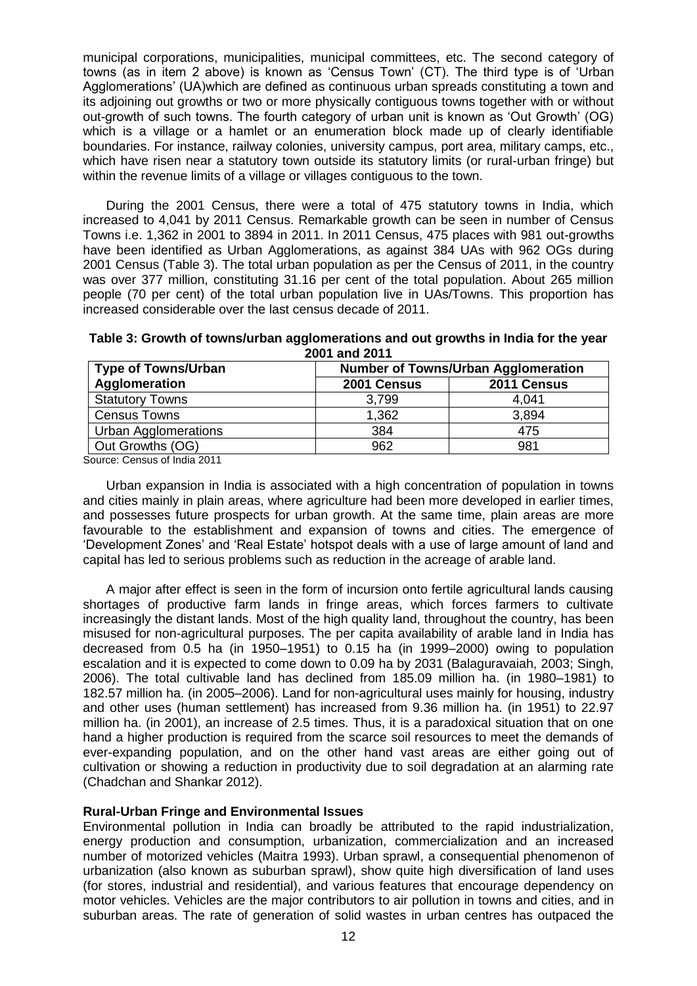municipal corporations, municipalities, municipal committees, etc. The second category of towns (as in item 2 above) is known as 'Census Town' (CT). The third type is of 'Urban Agglomerations' (UA)which are defined as continuous urban spreads constituting a town and its adjoining out growths or two or more physically contiguous towns together with or without out-growth of such towns. The fourth category of urban unit is known as 'Out Growth' (OG) which is a village or a hamlet or an enumeration block made up of clearly identifiable boundaries. For instance, railway colonies, university campus, port area, military camps, etc., which have risen near a statutory town outside its statutory limits (or rural-urban fringe) but within the revenue limits of a village or villages contiguous to the town.

During the 2001 Census, there were a total of 475 statutory towns in India, which increased to 4,041 by 2011 Census. Remarkable growth can be seen in number of Census Towns i.e. 1,362 in 2001 to 3894 in 2011. In 2011 Census, 475 places with 981 out-growths have been identified as Urban Agglomerations, as against 384 UAs with 962 OGs during 2001 Census (Table 3). The total urban population as per the Census of 2011, in the country was over 377 million, constituting 31.16 per cent of the total population. About 265 million people (70 per cent) of the total urban population live in UAs/Towns. This proportion has increased considerable over the last census decade of 2011.

**Table 3: Growth of towns/urban agglomerations and out growths in India for the year 2001 and 2011**

| <b>Type of Towns/Urban</b>  |             | <b>Number of Towns/Urban Agglomeration</b> |  |  |
|-----------------------------|-------------|--------------------------------------------|--|--|
| Agglomeration               | 2001 Census | 2011 Census                                |  |  |
| <b>Statutory Towns</b>      | 3,799       | 4,041                                      |  |  |
| <b>Census Towns</b>         | 1,362       | 3,894                                      |  |  |
| <b>Urban Agglomerations</b> | 384         | 475                                        |  |  |
| Out Growths (OG)            | 962         | 981                                        |  |  |

Source: Census of India 2011

Urban expansion in India is associated with a high concentration of population in towns and cities mainly in plain areas, where agriculture had been more developed in earlier times, and possesses future prospects for urban growth. At the same time, plain areas are more favourable to the establishment and expansion of towns and cities. The emergence of 'Development Zones' and 'Real Estate' hotspot deals with a use of large amount of land and capital has led to serious problems such as reduction in the acreage of arable land.

A major after effect is seen in the form of incursion onto fertile agricultural lands causing shortages of productive farm lands in fringe areas, which forces farmers to cultivate increasingly the distant lands. Most of the high quality land, throughout the country, has been misused for non-agricultural purposes. The per capita availability of arable land in India has decreased from 0.5 ha (in 1950–1951) to 0.15 ha (in 1999–2000) owing to population escalation and it is expected to come down to 0.09 ha by 2031 (Balaguravaiah, 2003; Singh, 2006). The total cultivable land has declined from 185.09 million ha. (in 1980–1981) to 182.57 million ha. (in 2005–2006). Land for non-agricultural uses mainly for housing, industry and other uses (human settlement) has increased from 9.36 million ha. (in 1951) to 22.97 million ha. (in 2001), an increase of 2.5 times. Thus, it is a paradoxical situation that on one hand a higher production is required from the scarce soil resources to meet the demands of ever-expanding population, and on the other hand vast areas are either going out of cultivation or showing a reduction in productivity due to soil degradation at an alarming rate (Chadchan and Shankar 2012).

### **Rural-Urban Fringe and Environmental Issues**

Environmental pollution in India can broadly be attributed to the rapid industrialization, energy production and consumption, urbanization, commercialization and an increased number of motorized vehicles (Maitra 1993). Urban sprawl, a consequential phenomenon of urbanization (also known as suburban sprawl), show quite high diversification of land uses (for stores, industrial and residential), and various features that encourage dependency on motor vehicles. Vehicles are the major contributors to air pollution in towns and cities, and in suburban areas. The rate of generation of solid wastes in urban centres has outpaced the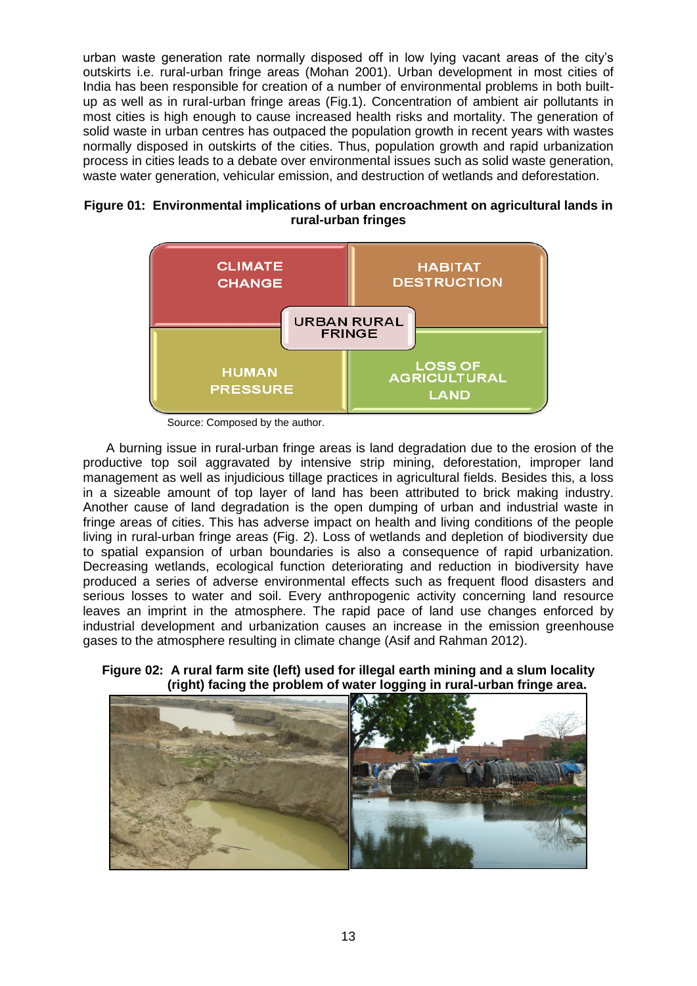urban waste generation rate normally disposed off in low lying vacant areas of the city's outskirts i.e. rural-urban fringe areas (Mohan 2001). Urban development in most cities of India has been responsible for creation of a number of environmental problems in both builtup as well as in rural-urban fringe areas (Fig.1). Concentration of ambient air pollutants in most cities is high enough to cause increased health risks and mortality. The generation of solid waste in urban centres has outpaced the population growth in recent years with wastes normally disposed in outskirts of the cities. Thus, population growth and rapid urbanization process in cities leads to a debate over environmental issues such as solid waste generation, waste water generation, vehicular emission, and destruction of wetlands and deforestation.





Source: Composed by the author.

A burning issue in rural-urban fringe areas is land degradation due to the erosion of the productive top soil aggravated by intensive strip mining, deforestation, improper land management as well as injudicious tillage practices in agricultural fields. Besides this, a loss in a sizeable amount of top layer of land has been attributed to brick making industry. Another cause of land degradation is the open dumping of urban and industrial waste in fringe areas of cities. This has adverse impact on health and living conditions of the people living in rural-urban fringe areas (Fig. 2). Loss of wetlands and depletion of biodiversity due to spatial expansion of urban boundaries is also a consequence of rapid urbanization. Decreasing wetlands, ecological function deteriorating and reduction in biodiversity have produced a series of adverse environmental effects such as frequent flood disasters and serious losses to water and soil. Every anthropogenic activity concerning land resource leaves an imprint in the atmosphere. The rapid pace of land use changes enforced by industrial development and urbanization causes an increase in the emission greenhouse gases to the atmosphere resulting in climate change (Asif and Rahman 2012).

**Figure 02: A rural farm site (left) used for illegal earth mining and a slum locality (right) facing the problem of water logging in rural-urban fringe area.**

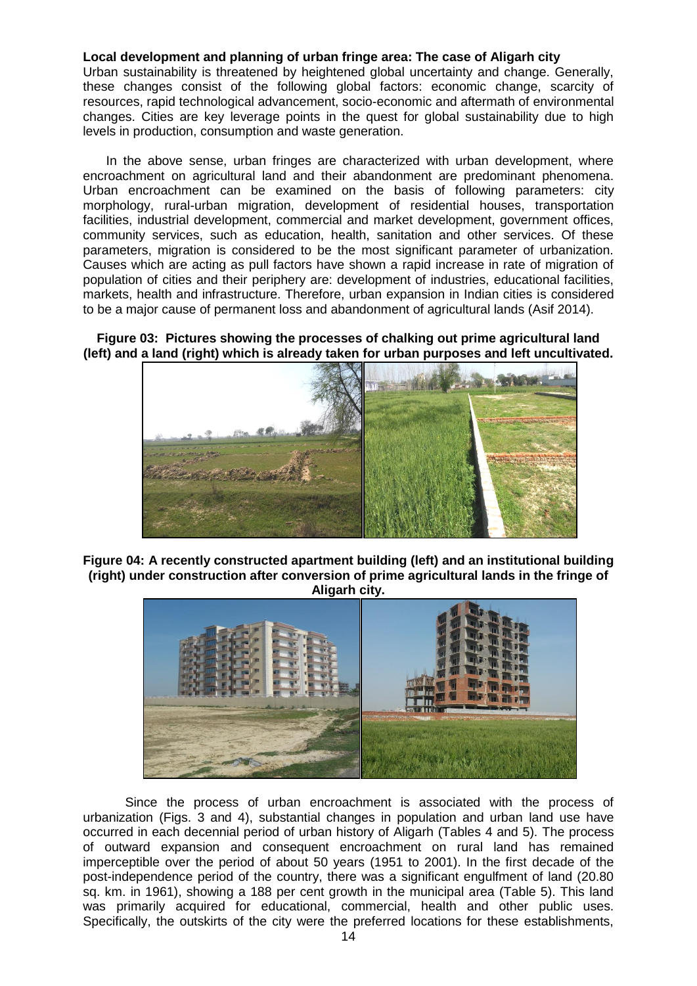## **Local development and planning of urban fringe area: The case of Aligarh city**

Urban sustainability is threatened by heightened global uncertainty and change. Generally, these changes consist of the following global factors: economic change, scarcity of resources, rapid technological advancement, socio-economic and aftermath of environmental changes. Cities are key leverage points in the quest for global sustainability due to high levels in production, consumption and waste generation.

In the above sense, urban fringes are characterized with urban development, where encroachment on agricultural land and their abandonment are predominant phenomena. Urban encroachment can be examined on the basis of following parameters: city morphology, rural-urban migration, development of residential houses, transportation facilities, industrial development, commercial and market development, government offices, community services, such as education, health, sanitation and other services. Of these parameters, migration is considered to be the most significant parameter of urbanization. Causes which are acting as pull factors have shown a rapid increase in rate of migration of population of cities and their periphery are: development of industries, educational facilities, markets, health and infrastructure. Therefore, urban expansion in Indian cities is considered to be a major cause of permanent loss and abandonment of agricultural lands (Asif 2014).

## **Figure 03: Pictures showing the processes of chalking out prime agricultural land (left) and a land (right) which is already taken for urban purposes and left uncultivated.**



**Figure 04: A recently constructed apartment building (left) and an institutional building (right) under construction after conversion of prime agricultural lands in the fringe of Aligarh city.**



Since the process of urban encroachment is associated with the process of urbanization (Figs. 3 and 4), substantial changes in population and urban land use have occurred in each decennial period of urban history of Aligarh (Tables 4 and 5). The process of outward expansion and consequent encroachment on rural land has remained imperceptible over the period of about 50 years (1951 to 2001). In the first decade of the post-independence period of the country, there was a significant engulfment of land (20.80 sq. km. in 1961), showing a 188 per cent growth in the municipal area (Table 5). This land was primarily acquired for educational, commercial, health and other public uses. Specifically, the outskirts of the city were the preferred locations for these establishments,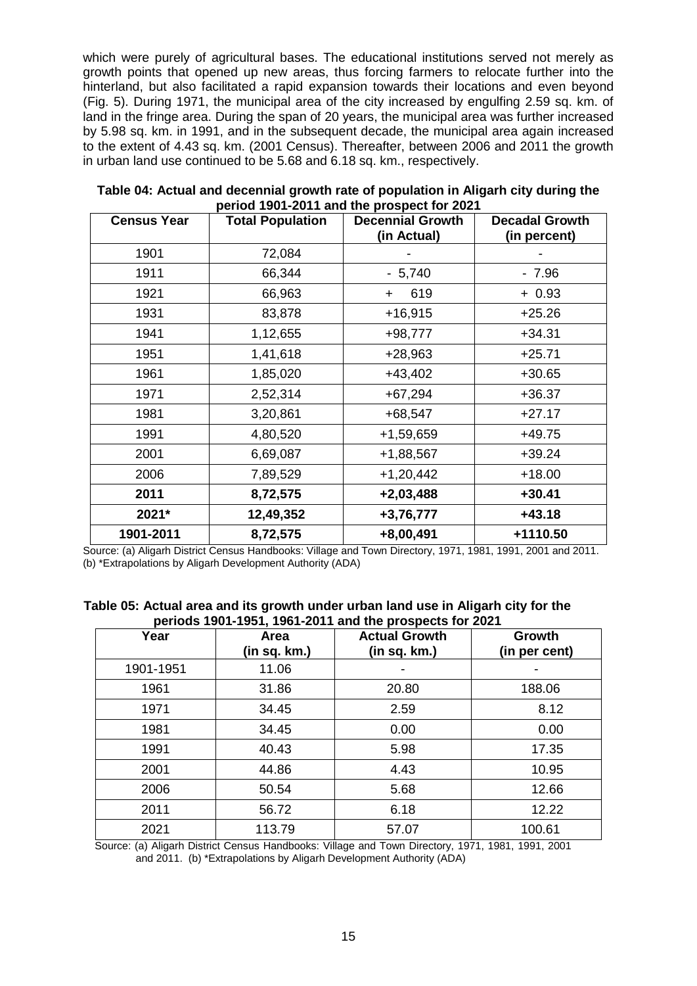which were purely of agricultural bases. The educational institutions served not merely as growth points that opened up new areas, thus forcing farmers to relocate further into the hinterland, but also facilitated a rapid expansion towards their locations and even beyond (Fig. 5). During 1971, the municipal area of the city increased by engulfing 2.59 sq. km. of land in the fringe area. During the span of 20 years, the municipal area was further increased by 5.98 sq. km. in 1991, and in the subsequent decade, the municipal area again increased to the extent of 4.43 sq. km. (2001 Census). Thereafter, between 2006 and 2011 the growth in urban land use continued to be 5.68 and 6.18 sq. km., respectively.

| <b>Census Year</b> | <b>Total Population</b> | <b>Decennial Growth</b> | <b>Decadal Growth</b> |
|--------------------|-------------------------|-------------------------|-----------------------|
|                    |                         | (in Actual)             | (in percent)          |
| 1901               | 72,084                  |                         |                       |
| 1911               | 66,344                  | $-5,740$                | $-7.96$               |
| 1921               | 66,963                  | 619<br>$\ddot{}$        | $+0.93$               |
| 1931               | 83,878                  | $+16,915$               | $+25.26$              |
| 1941               | 1,12,655                | $+98,777$               | $+34.31$              |
| 1951               | 1,41,618                | $+28,963$               | $+25.71$              |
| 1961               | 1,85,020                | $+43,402$               | $+30.65$              |
| 1971               | 2,52,314                | $+67,294$               | $+36.37$              |
| 1981               | 3,20,861                | $+68,547$               | $+27.17$              |
| 1991               | 4,80,520                | +1,59,659               | $+49.75$              |
| 2001               | 6,69,087                | +1,88,567               | $+39.24$              |
| 2006               | 7,89,529                | $+1,20,442$             | $+18.00$              |
| 2011               | 8,72,575                | $+2,03,488$             | $+30.41$              |
| 2021*              | 12,49,352               | +3,76,777               | $+43.18$              |
| 1901-2011          | 8,72,575                | +8,00,491               | +1110.50              |

**Table 04: Actual and decennial growth rate of population in Aligarh city during the period 1901-2011 and the prospect for 2021**

Source: (a) Aligarh District Census Handbooks: Village and Town Directory, 1971, 1981, 1991, 2001 and 2011. (b) \*Extrapolations by Aligarh Development Authority (ADA)

| Table 05: Actual area and its growth under urban land use in Aligarh city for the |  |
|-----------------------------------------------------------------------------------|--|
| periods 1901-1951, 1961-2011 and the prospects for 2021                           |  |

| Year      | Area<br>(in sq. km.) | <b>Actual Growth</b><br>(in sq. km.) | Growth<br>(in per cent) |
|-----------|----------------------|--------------------------------------|-------------------------|
| 1901-1951 | 11.06                |                                      |                         |
| 1961      | 31.86                | 20.80                                | 188.06                  |
| 1971      | 34.45                | 2.59                                 | 8.12                    |
| 1981      | 34.45                | 0.00                                 | 0.00                    |
| 1991      | 40.43                | 5.98                                 | 17.35                   |
| 2001      | 44.86                | 4.43                                 | 10.95                   |
| 2006      | 50.54                | 5.68                                 | 12.66                   |
| 2011      | 56.72                | 6.18                                 | 12.22                   |
| 2021      | 113.79               | 57.07                                | 100.61                  |

 Source: (a) Aligarh District Census Handbooks: Village and Town Directory, 1971, 1981, 1991, 2001 and 2011. (b) \*Extrapolations by Aligarh Development Authority (ADA)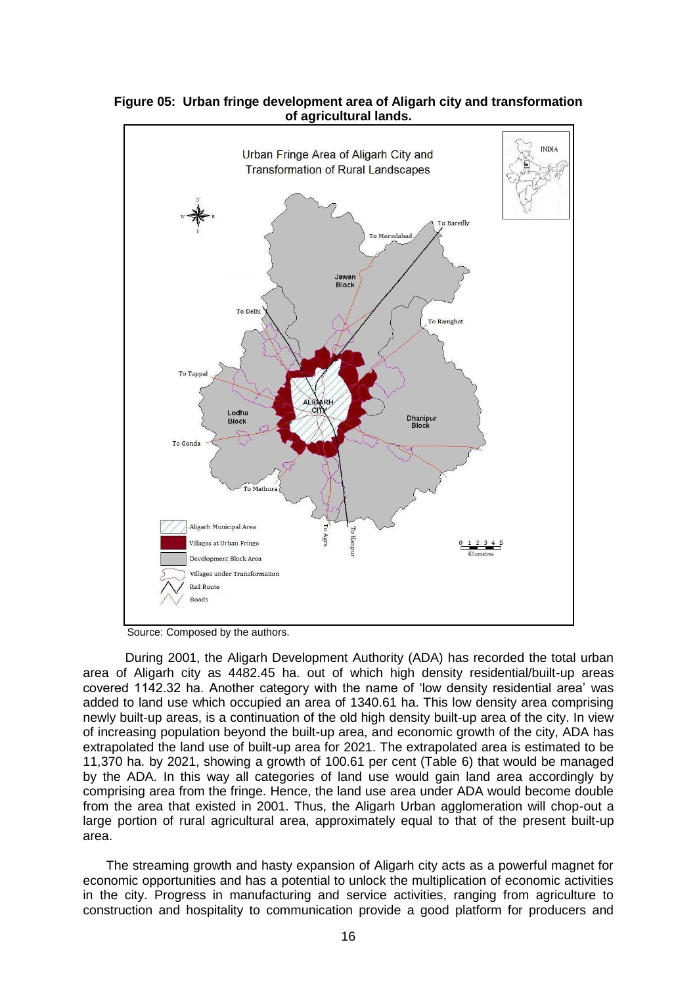

**Figure 05: Urban fringe development area of Aligarh city and transformation of agricultural lands.**

Source: Composed by the authors.

During 2001, the Aligarh Development Authority (ADA) has recorded the total urban area of Aligarh city as 4482.45 ha. out of which high density residential/built-up areas covered 1142.32 ha. Another category with the name of 'low density residential area' was added to land use which occupied an area of 1340.61 ha. This low density area comprising newly built-up areas, is a continuation of the old high density built-up area of the city. In view of increasing population beyond the built-up area, and economic growth of the city, ADA has extrapolated the land use of built-up area for 2021. The extrapolated area is estimated to be 11,370 ha. by 2021, showing a growth of 100.61 per cent (Table 6) that would be managed by the ADA. In this way all categories of land use would gain land area accordingly by comprising area from the fringe. Hence, the land use area under ADA would become double from the area that existed in 2001. Thus, the Aligarh Urban agglomeration will chop-out a large portion of rural agricultural area, approximately equal to that of the present built-up area.

The streaming growth and hasty expansion of Aligarh city acts as a powerful magnet for economic opportunities and has a potential to unlock the multiplication of economic activities in the city. Progress in manufacturing and service activities, ranging from agriculture to construction and hospitality to communication provide a good platform for producers and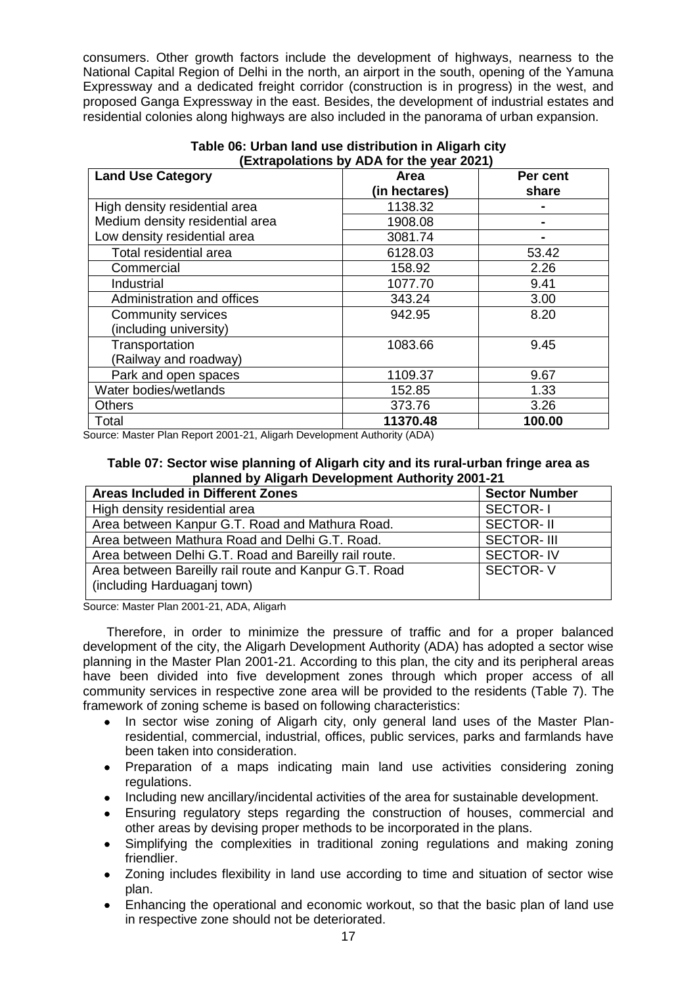consumers. Other growth factors include the development of highways, nearness to the National Capital Region of Delhi in the north, an airport in the south, opening of the Yamuna Expressway and a dedicated freight corridor (construction is in progress) in the west, and proposed Ganga Expressway in the east. Besides, the development of industrial estates and residential colonies along highways are also included in the panorama of urban expansion.

| <b>Land Use Category</b>        | Area          | Per cent |  |  |
|---------------------------------|---------------|----------|--|--|
|                                 | (in hectares) | share    |  |  |
| High density residential area   | 1138.32       |          |  |  |
| Medium density residential area | 1908.08       |          |  |  |
| Low density residential area    | 3081.74       |          |  |  |
| Total residential area          | 6128.03       | 53.42    |  |  |
| Commercial                      | 158.92        | 2.26     |  |  |
| Industrial                      | 1077.70       | 9.41     |  |  |
| Administration and offices      | 343.24        | 3.00     |  |  |
| <b>Community services</b>       | 942.95        | 8.20     |  |  |
| (including university)          |               |          |  |  |
| Transportation                  | 1083.66       | 9.45     |  |  |
| (Railway and roadway)           |               |          |  |  |
| Park and open spaces            | 1109.37       | 9.67     |  |  |
| Water bodies/wetlands           | 152.85        | 1.33     |  |  |
| <b>Others</b>                   | 373.76        | 3.26     |  |  |
| Total                           | 11370.48      | 100.00   |  |  |

### **Table 06: Urban land use distribution in Aligarh city (Extrapolations by ADA for the year 2021)**

Source: Master Plan Report 2001-21, Aligarh Development Authority (ADA)

### **Table 07: Sector wise planning of Aligarh city and its rural-urban fringe area as planned by Aligarh Development Authority 2001-21**

| <b>Areas Included in Different Zones</b>                                             | <b>Sector Number</b> |
|--------------------------------------------------------------------------------------|----------------------|
| High density residential area                                                        | <b>SECTOR-1</b>      |
| Area between Kanpur G.T. Road and Mathura Road.                                      | <b>SECTOR-II</b>     |
| Area between Mathura Road and Delhi G.T. Road.                                       | <b>SECTOR-III</b>    |
| Area between Delhi G.T. Road and Bareilly rail route.                                | <b>SECTOR-IV</b>     |
| Area between Bareilly rail route and Kanpur G.T. Road<br>(including Harduaganj town) | <b>SECTOR-V</b>      |

Source: Master Plan 2001-21, ADA, Aligarh

Therefore, in order to minimize the pressure of traffic and for a proper balanced development of the city, the Aligarh Development Authority (ADA) has adopted a sector wise planning in the Master Plan 2001-21. According to this plan, the city and its peripheral areas have been divided into five development zones through which proper access of all community services in respective zone area will be provided to the residents (Table 7). The framework of zoning scheme is based on following characteristics:

- In sector wise zoning of Aligarh city, only general land uses of the Master Planresidential, commercial, industrial, offices, public services, parks and farmlands have been taken into consideration.
- Preparation of a maps indicating main land use activities considering zoning regulations.
- Including new ancillary/incidental activities of the area for sustainable development.
- Ensuring regulatory steps regarding the construction of houses, commercial and other areas by devising proper methods to be incorporated in the plans.
- Simplifying the complexities in traditional zoning regulations and making zoning friendlier.
- Zoning includes flexibility in land use according to time and situation of sector wise plan.
- Enhancing the operational and economic workout, so that the basic plan of land use in respective zone should not be deteriorated.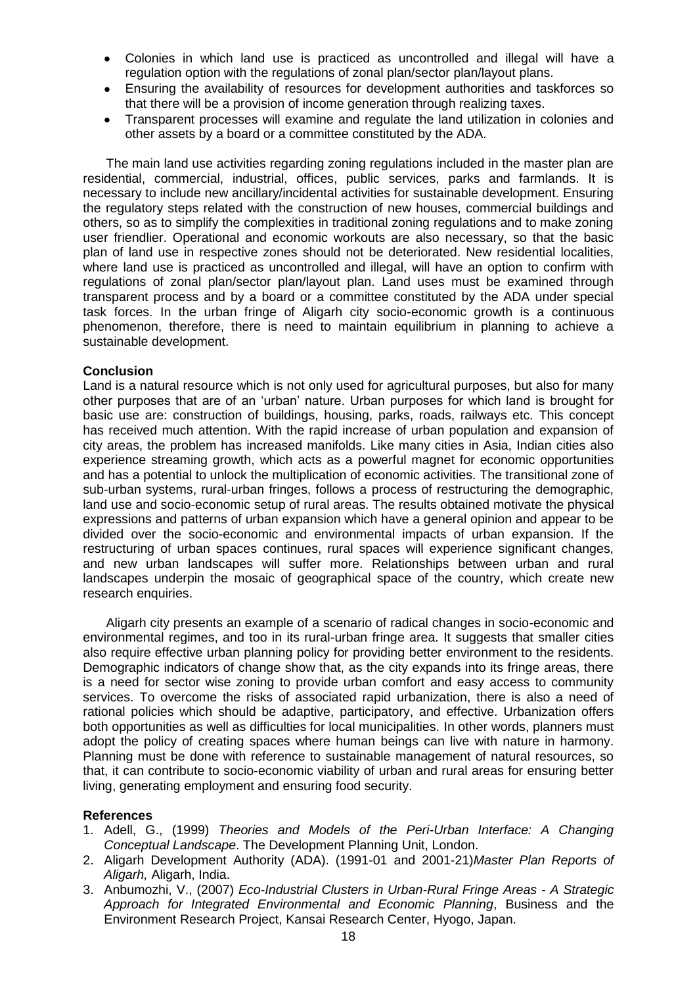- Colonies in which land use is practiced as uncontrolled and illegal will have a regulation option with the regulations of zonal plan/sector plan/layout plans.
- Ensuring the availability of resources for development authorities and taskforces so that there will be a provision of income generation through realizing taxes.
- Transparent processes will examine and regulate the land utilization in colonies and other assets by a board or a committee constituted by the ADA.

The main land use activities regarding zoning regulations included in the master plan are residential, commercial, industrial, offices, public services, parks and farmlands. It is necessary to include new ancillary/incidental activities for sustainable development. Ensuring the regulatory steps related with the construction of new houses, commercial buildings and others, so as to simplify the complexities in traditional zoning regulations and to make zoning user friendlier. Operational and economic workouts are also necessary, so that the basic plan of land use in respective zones should not be deteriorated. New residential localities, where land use is practiced as uncontrolled and illegal, will have an option to confirm with regulations of zonal plan/sector plan/layout plan. Land uses must be examined through transparent process and by a board or a committee constituted by the ADA under special task forces. In the urban fringe of Aligarh city socio-economic growth is a continuous phenomenon, therefore, there is need to maintain equilibrium in planning to achieve a sustainable development.

## **Conclusion**

Land is a natural resource which is not only used for agricultural purposes, but also for many other purposes that are of an 'urban' nature. Urban purposes for which land is brought for basic use are: construction of buildings, housing, parks, roads, railways etc. This concept has received much attention. With the rapid increase of urban population and expansion of city areas, the problem has increased manifolds. Like many cities in Asia, Indian cities also experience streaming growth, which acts as a powerful magnet for economic opportunities and has a potential to unlock the multiplication of economic activities. The transitional zone of sub-urban systems, rural-urban fringes, follows a process of restructuring the demographic, land use and socio-economic setup of rural areas. The results obtained motivate the physical expressions and patterns of urban expansion which have a general opinion and appear to be divided over the socio-economic and environmental impacts of urban expansion. If the restructuring of urban spaces continues, rural spaces will experience significant changes, and new urban landscapes will suffer more. Relationships between urban and rural landscapes underpin the mosaic of geographical space of the country, which create new research enquiries.

Aligarh city presents an example of a scenario of radical changes in socio-economic and environmental regimes, and too in its rural-urban fringe area. It suggests that smaller cities also require effective urban planning policy for providing better environment to the residents. Demographic indicators of change show that, as the city expands into its fringe areas, there is a need for sector wise zoning to provide urban comfort and easy access to community services. To overcome the risks of associated rapid urbanization, there is also a need of rational policies which should be adaptive, participatory, and effective. Urbanization offers both opportunities as well as difficulties for local municipalities. In other words, planners must adopt the policy of creating spaces where human beings can live with nature in harmony. Planning must be done with reference to sustainable management of natural resources, so that, it can contribute to socio-economic viability of urban and rural areas for ensuring better living, generating employment and ensuring food security.

## **References**

- 1. Adell, G., (1999) *Theories and Models of the Peri-Urban Interface: A Changing Conceptual Landscape*. The Development Planning Unit, London.
- 2. Aligarh Development Authority (ADA). (1991-01 and 2001-21)*Master Plan Reports of Aligarh,* Aligarh, India.
- 3. Anbumozhi, V., (2007) *Eco-Industrial Clusters in Urban-Rural Fringe Areas - A Strategic Approach for Integrated Environmental and Economic Planning*, Business and the Environment Research Project, Kansai Research Center, Hyogo, Japan.